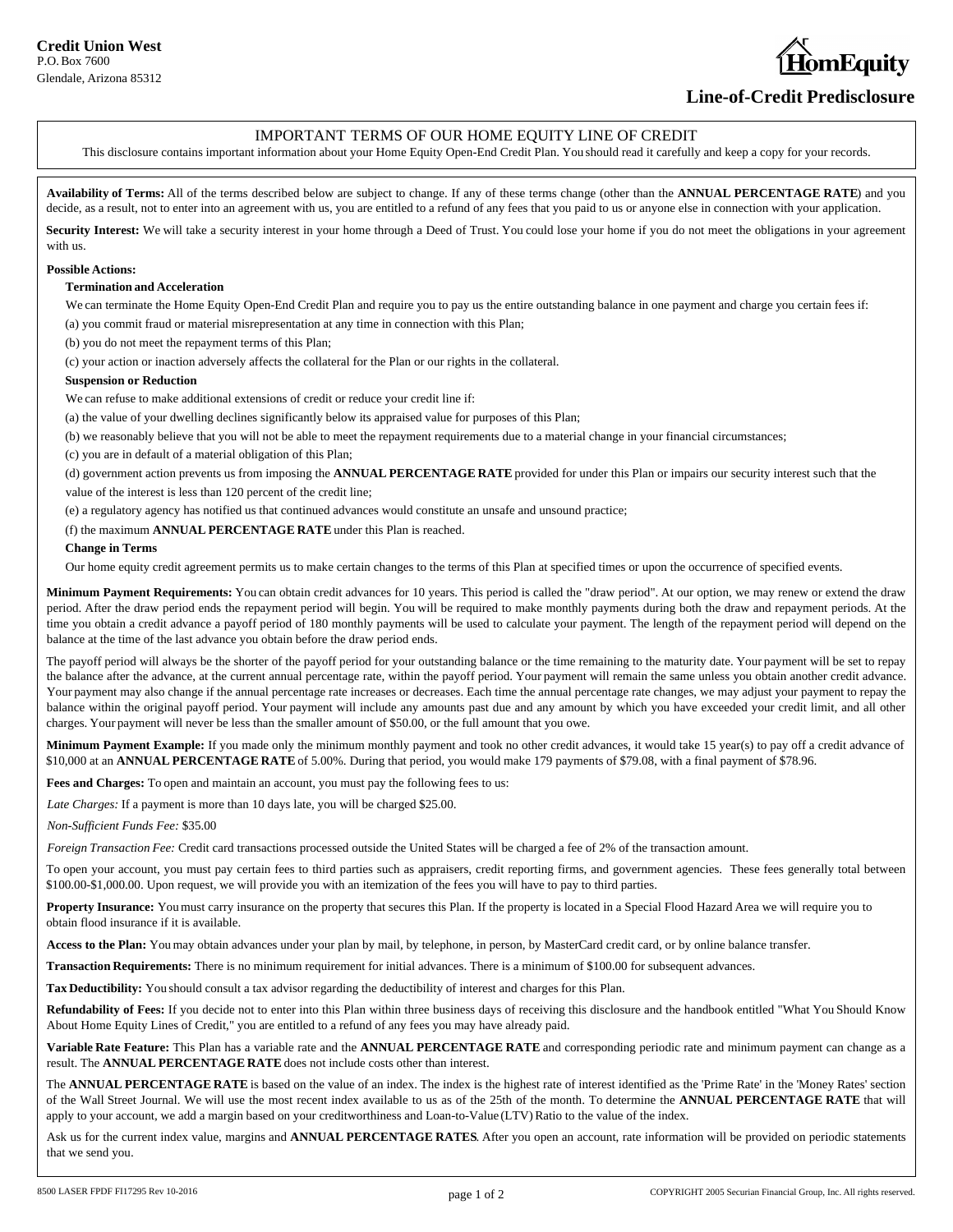# bmEauitv

# **Line-of-Credit Predisclosure**

## IMPORTANT TERMS OF OUR HOME EQUITY LINE OF CREDIT

This disclosure contains important information about your Home Equity Open-End Credit Plan. You should read it carefully and keep a copy for your records.

**Availability of Terms:** All of the terms described below are subject to change. If any of these terms change (other than the **ANNUAL PERCENTAGE RATE**) and you decide, as a result, not to enter into an agreement with us, you are entitled to a refund of any fees that you paid to us or anyone else in connection with your application.

Security Interest: We will take a security interest in your home through a Deed of Trust. You could lose your home if you do not meet the obligations in your agreement with us.

#### **Possible Actions:**

### **Termination and Acceleration**

We can terminate the Home Equity Open-End Credit Plan and require you to pay us the entire outstanding balance in one payment and charge you certain fees if: (a) you commit fraud or material misrepresentation at any time in connection with this Plan;

(b) you do not meet the repayment terms of this Plan;

(c) your action or inaction adversely affects the collateral for the Plan or our rights in the collateral.

#### **Suspension or Reduction**

We can refuse to make additional extensions of credit or reduce your credit line if:

(a) the value of your dwelling declines significantly below its appraised value for purposes of this Plan;

(b) we reasonably believe that you will not be able to meet the repayment requirements due to a material change in your financial circumstances;

(c) you are in default of a material obligation of this Plan;

(d) government action prevents us from imposing the **ANNUAL PERCENTAGE RATE** provided for under this Plan or impairs our security interest such that the value of the interest is less than 120 percent of the credit line;

(e) a regulatory agency has notified us that continued advances would constitute an unsafe and unsound practice;

(f) the maximum **ANNUAL PERCENTAGE RATE** under this Plan is reached.

#### **Change in Terms**

Our home equity credit agreement permits us to make certain changes to the terms of this Plan at specified times or upon the occurrence of specified events.

**Minimum Payment Requirements:** You can obtain credit advances for 10 years. This period is called the "draw period". At our option, we may renew or extend the draw period. After the draw period ends the repayment period will begin. You will be required to make monthly payments during both the draw and repayment periods. At the time you obtain a credit advance a payoff period of 180 monthly payments will be used to calculate your payment. The length of the repayment period will depend on the balance at the time of the last advance you obtain before the draw period ends.

The payoff period will always be the shorter of the payoff period for your outstanding balance or the time remaining to the maturity date. Your payment will be set to repay the balance after the advance, at the current annual percentage rate, within the payoff period. Your payment will remain the same unless you obtain another credit advance. Your payment may also change if the annual percentage rate increases or decreases. Each time the annual percentage rate changes, we may adjust your payment to repay the balance within the original payoff period. Your payment will include any amounts past due and any amount by which you have exceeded your credit limit, and all other charges. Your payment will never be less than the smaller amount of \$50.00, or the full amount that you owe.

**Minimum Payment Example:** If you made only the minimum monthly payment and took no other credit advances, it would take 15 year(s) to pay off a credit advance of \$10,000 at an **ANNUAL PERCENTAGE RATE** of 5.00%. During that period, you would make 179 payments of \$79.08, with a final payment of \$78.96.

**Fees and Charges:** To open and maintain an account, you must pay the following fees to us:

*Late Charges:* If a payment is more than 10 days late, you will be charged \$25.00.

*Non-Sufficient Funds Fee:* \$35.00

*Foreign Transaction Fee:* Credit card transactions processed outside the United States will be charged a fee of 2% of the transaction amount.

To open your account, you must pay certain fees to third parties such as appraisers, credit reporting firms, and government agencies. These fees generally total between \$100.00-\$1,000.00. Upon request, we will provide you with an itemization of the fees you will have to pay to third parties.

Property Insurance: You must carry insurance on the property that secures this Plan. If the property is located in a Special Flood Hazard Area we will require you to obtain flood insurance if it is available.

**Access to the Plan:** You may obtain advances under your plan by mail, by telephone, in person, by MasterCard credit card, or by online balance transfer.

**Transaction Requirements:** There is no minimum requirement for initial advances. There is a minimum of \$100.00 for subsequent advances.

**Tax Deductibility:** You should consult a tax advisor regarding the deductibility of interest and charges for this Plan.

**Refundability of Fees:** If you decide not to enter into this Plan within three business days of receiving this disclosure and the handbook entitled "What You Should Know About Home Equity Lines of Credit," you are entitled to a refund of any fees you may have already paid.

**Variable Rate Feature:** This Plan has a variable rate and the **ANNUAL PERCENTAGE RATE** and corresponding periodic rate and minimum payment can change as a result. The **ANNUAL PERCENTAGE RATE** does not include costs other than interest.

The **ANNUAL PERCENTAGE RATE** is based on the value of an index. The index is the highest rate of interest identified as the 'Prime Rate' in the 'Money Rates' section of the Wall Street Journal. We will use the most recent index available to us as of the 25th of the month. To determine the **ANNUAL PERCENTAGE RATE** that will apply to your account, we add a margin based on your creditworthiness and Loan-to-Value (LTV) Ratio to the value of the index.

Ask us for the current index value, margins and **ANNUAL PERCENTAGE RATES**. After you open an account, rate information will be provided on periodic statements that we send you.